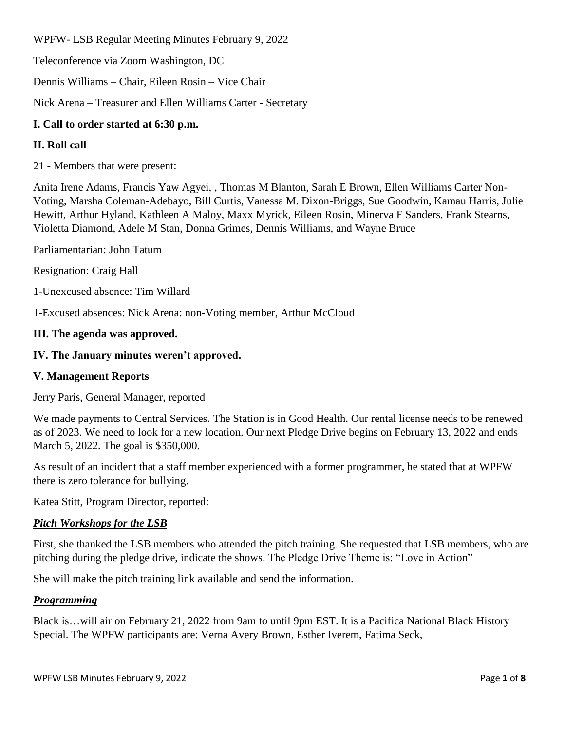WPFW- LSB Regular Meeting Minutes February 9, 2022

Teleconference via Zoom Washington, DC

Dennis Williams – Chair, Eileen Rosin – Vice Chair

Nick Arena – Treasurer and Ellen Williams Carter - Secretary

# **I. Call to order started at 6:30 p.m.**

## **II. Roll call**

21 - Members that were present:

Anita Irene Adams, Francis Yaw Agyei, , Thomas M Blanton, Sarah E Brown, Ellen Williams Carter Non-Voting, Marsha Coleman-Adebayo, Bill Curtis, Vanessa M. Dixon-Briggs, Sue Goodwin, Kamau Harris, Julie Hewitt, Arthur Hyland, Kathleen A Maloy, Maxx Myrick, Eileen Rosin, Minerva F Sanders, Frank Stearns, Violetta Diamond, Adele M Stan, Donna Grimes, Dennis Williams, and Wayne Bruce

Parliamentarian: John Tatum

Resignation: Craig Hall

1-Unexcused absence: Tim Willard

1-Excused absences: Nick Arena: non-Voting member, Arthur McCloud

## **III. The agenda was approved.**

## **IV. The January minutes weren't approved.**

### **V. Management Reports**

Jerry Paris, General Manager, reported

We made payments to Central Services. The Station is in Good Health. Our rental license needs to be renewed as of 2023. We need to look for a new location. Our next Pledge Drive begins on February 13, 2022 and ends March 5, 2022. The goal is \$350,000.

As result of an incident that a staff member experienced with a former programmer, he stated that at WPFW there is zero tolerance for bullying.

Katea Stitt, Program Director, reported:

### *Pitch Workshops for the LSB*

First, she thanked the LSB members who attended the pitch training. She requested that LSB members, who are pitching during the pledge drive, indicate the shows. The Pledge Drive Theme is: "Love in Action"

She will make the pitch training link available and send the information.

### *Programming*

Black is…will air on February 21, 2022 from 9am to until 9pm EST. It is a Pacifica National Black History Special. The WPFW participants are: Verna Avery Brown, Esther Iverem, Fatima Seck,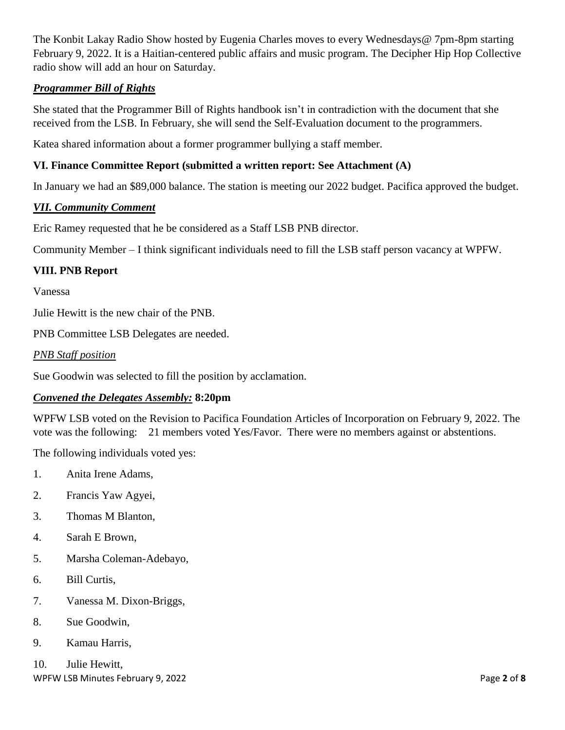The Konbit Lakay Radio Show hosted by Eugenia Charles moves to every Wednesdays@ 7pm-8pm starting February 9, 2022. It is a Haitian-centered public affairs and music program. The Decipher Hip Hop Collective radio show will add an hour on Saturday.

# *Programmer Bill of Rights*

She stated that the Programmer Bill of Rights handbook isn't in contradiction with the document that she received from the LSB. In February, she will send the Self-Evaluation document to the programmers.

Katea shared information about a former programmer bullying a staff member.

## **VI. Finance Committee Report (submitted a written report: See Attachment (A)**

In January we had an \$89,000 balance. The station is meeting our 2022 budget. Pacifica approved the budget.

## *VII. Community Comment*

Eric Ramey requested that he be considered as a Staff LSB PNB director.

Community Member – I think significant individuals need to fill the LSB staff person vacancy at WPFW.

## **VIII. PNB Report**

Vanessa

Julie Hewitt is the new chair of the PNB.

PNB Committee LSB Delegates are needed.

#### *PNB Staff position*

Sue Goodwin was selected to fill the position by acclamation.

### *Convened the Delegates Assembly:* **8:20pm**

WPFW LSB voted on the Revision to Pacifica Foundation Articles of Incorporation on February 9, 2022. The vote was the following: 21 members voted Yes/Favor. There were no members against or abstentions.

The following individuals voted yes:

- 1. Anita Irene Adams,
- 2. Francis Yaw Agyei,
- 3. Thomas M Blanton,
- 4. Sarah E Brown,
- 5. Marsha Coleman-Adebayo,
- 6. Bill Curtis,
- 7. Vanessa M. Dixon-Briggs,
- 8. Sue Goodwin,
- 9. Kamau Harris,

WPFW LSB Minutes February 9, 2022 **Page 2** of **8 Page 2** of **8** 10. Julie Hewitt,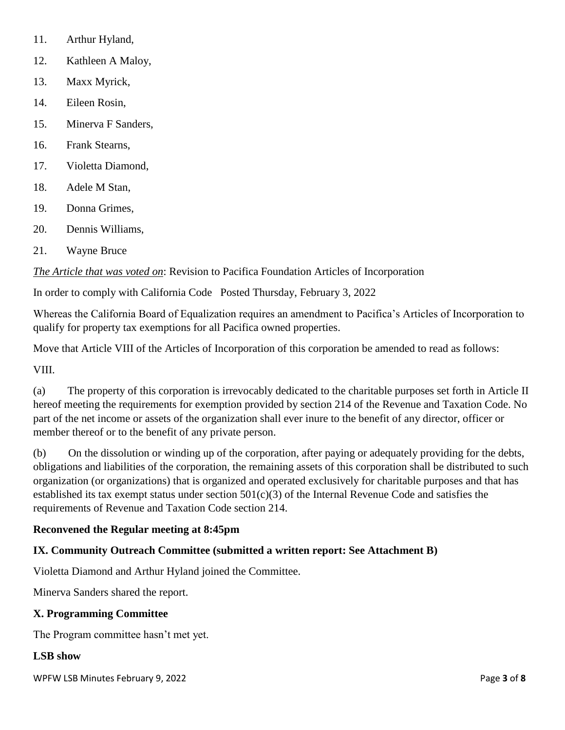- 11. Arthur Hyland,
- 12. Kathleen A Maloy,
- 13. Maxx Myrick,
- 14. Eileen Rosin,
- 15. Minerva F Sanders,
- 16. Frank Stearns,
- 17. Violetta Diamond,
- 18. Adele M Stan,
- 19. Donna Grimes,
- 20. Dennis Williams,
- 21. Wayne Bruce

*The Article that was voted on*: Revision to Pacifica Foundation Articles of Incorporation

In order to comply with California Code Posted Thursday, February 3, 2022

Whereas the California Board of Equalization requires an amendment to Pacifica's Articles of Incorporation to qualify for property tax exemptions for all Pacifica owned properties.

Move that Article VIII of the Articles of Incorporation of this corporation be amended to read as follows:

VIII.

(a) The property of this corporation is irrevocably dedicated to the charitable purposes set forth in Article II hereof meeting the requirements for exemption provided by section 214 of the Revenue and Taxation Code. No part of the net income or assets of the organization shall ever inure to the benefit of any director, officer or member thereof or to the benefit of any private person.

(b) On the dissolution or winding up of the corporation, after paying or adequately providing for the debts, obligations and liabilities of the corporation, the remaining assets of this corporation shall be distributed to such organization (or organizations) that is organized and operated exclusively for charitable purposes and that has established its tax exempt status under section  $501(c)(3)$  of the Internal Revenue Code and satisfies the requirements of Revenue and Taxation Code section 214.

### **Reconvened the Regular meeting at 8:45pm**

### **IX. Community Outreach Committee (submitted a written report: See Attachment B)**

Violetta Diamond and Arthur Hyland joined the Committee.

Minerva Sanders shared the report.

### **X. Programming Committee**

The Program committee hasn't met yet.

### **LSB show**

WPFW LSB Minutes February 9, 2022 **Page 3** of **8 Page 3** of **8**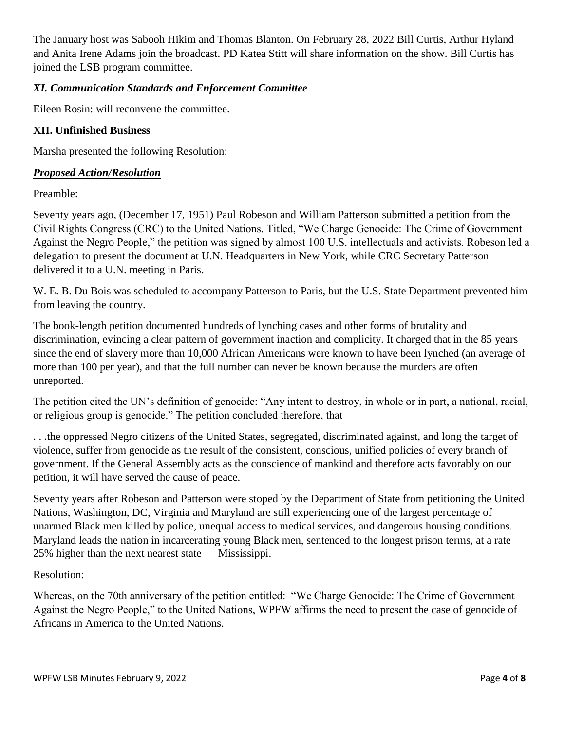The January host was Sabooh Hikim and Thomas Blanton. On February 28, 2022 Bill Curtis, Arthur Hyland and Anita Irene Adams join the broadcast. PD Katea Stitt will share information on the show. Bill Curtis has joined the LSB program committee.

# *XI. Communication Standards and Enforcement Committee*

Eileen Rosin: will reconvene the committee.

## **XII. Unfinished Business**

Marsha presented the following Resolution:

### *Proposed Action/Resolution*

Preamble:

Seventy years ago, (December 17, 1951) Paul Robeson and William Patterson submitted a petition from the Civil Rights Congress (CRC) to the United Nations. Titled, "We Charge Genocide: The Crime of Government Against the Negro People," the petition was signed by almost 100 U.S. intellectuals and activists. Robeson led a delegation to present the document at U.N. Headquarters in New York, while CRC Secretary Patterson delivered it to a U.N. meeting in Paris.

W. E. B. Du Bois was scheduled to accompany Patterson to Paris, but the U.S. State Department prevented him from leaving the country.

The book-length petition documented hundreds of lynching cases and other forms of brutality and discrimination, evincing a clear pattern of government inaction and complicity. It charged that in the 85 years since the end of slavery more than 10,000 African Americans were known to have been lynched (an average of more than 100 per year), and that the full number can never be known because the murders are often unreported.

The petition cited the UN's definition of genocide: "Any intent to destroy, in whole or in part, a national, racial, or religious group is genocide." The petition concluded therefore, that

. . .the oppressed Negro citizens of the United States, segregated, discriminated against, and long the target of violence, suffer from genocide as the result of the consistent, conscious, unified policies of every branch of government. If the General Assembly acts as the conscience of mankind and therefore acts favorably on our petition, it will have served the cause of peace.

Seventy years after Robeson and Patterson were stoped by the Department of State from petitioning the United Nations, Washington, DC, Virginia and Maryland are still experiencing one of the largest percentage of unarmed Black men killed by police, unequal access to medical services, and dangerous housing conditions. Maryland leads the nation in incarcerating young Black men, sentenced to the longest prison terms, at a rate 25% higher than the next nearest state — Mississippi.

## Resolution:

Whereas, on the 70th anniversary of the petition entitled: "We Charge Genocide: The Crime of Government Against the Negro People," to the United Nations, WPFW affirms the need to present the case of genocide of Africans in America to the United Nations.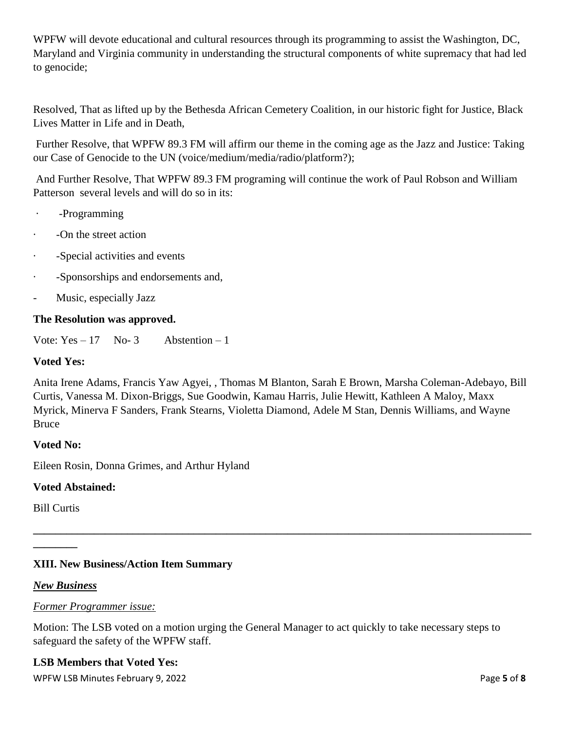WPFW will devote educational and cultural resources through its programming to assist the Washington, DC, Maryland and Virginia community in understanding the structural components of white supremacy that had led to genocide;

Resolved, That as lifted up by the Bethesda African Cemetery Coalition, in our historic fight for Justice, Black Lives Matter in Life and in Death,

Further Resolve, that WPFW 89.3 FM will affirm our theme in the coming age as the Jazz and Justice: Taking our Case of Genocide to the UN (voice/medium/media/radio/platform?);

And Further Resolve, That WPFW 89.3 FM programing will continue the work of Paul Robson and William Patterson several levels and will do so in its:

- · -Programming
- · -On the street action
- · -Special activities and events
- · -Sponsorships and endorsements and,
- Music, especially Jazz

## **The Resolution was approved.**

Vote:  $Yes - 17$  No- 3 Abstention – 1

## **Voted Yes:**

Anita Irene Adams, Francis Yaw Agyei, , Thomas M Blanton, Sarah E Brown, Marsha Coleman-Adebayo, Bill Curtis, Vanessa M. Dixon-Briggs, Sue Goodwin, Kamau Harris, Julie Hewitt, Kathleen A Maloy, Maxx Myrick, Minerva F Sanders, Frank Stearns, Violetta Diamond, Adele M Stan, Dennis Williams, and Wayne Bruce

**\_\_\_\_\_\_\_\_\_\_\_\_\_\_\_\_\_\_\_\_\_\_\_\_\_\_\_\_\_\_\_\_\_\_\_\_\_\_\_\_\_\_\_\_\_\_\_\_\_\_\_\_\_\_\_\_\_\_\_\_\_\_\_\_\_\_\_\_\_\_\_\_\_\_\_\_\_\_\_\_\_\_\_\_\_\_\_\_\_\_**

### **Voted No:**

Eileen Rosin, Donna Grimes, and Arthur Hyland

## **Voted Abstained:**

Bill Curtis

**\_\_\_\_\_\_\_\_**

# **XIII. New Business/Action Item Summary**

### *New Business*

### *Former Programmer issue:*

Motion: The LSB voted on a motion urging the General Manager to act quickly to take necessary steps to safeguard the safety of the WPFW staff.

## **LSB Members that Voted Yes:**

WPFW LSB Minutes February 9, 2022 **Page 1 and 2018** Page 1 and 2018 Page 1 and 2018 Page 1 and 2018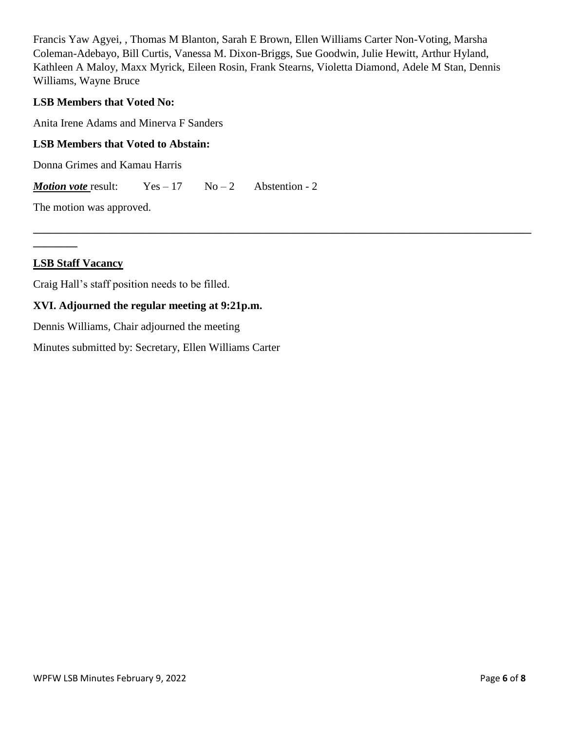Francis Yaw Agyei, , Thomas M Blanton, Sarah E Brown, Ellen Williams Carter Non-Voting, Marsha Coleman-Adebayo, Bill Curtis, Vanessa M. Dixon-Briggs, Sue Goodwin, Julie Hewitt, Arthur Hyland, Kathleen A Maloy, Maxx Myrick, Eileen Rosin, Frank Stearns, Violetta Diamond, Adele M Stan, Dennis Williams, Wayne Bruce

**\_\_\_\_\_\_\_\_\_\_\_\_\_\_\_\_\_\_\_\_\_\_\_\_\_\_\_\_\_\_\_\_\_\_\_\_\_\_\_\_\_\_\_\_\_\_\_\_\_\_\_\_\_\_\_\_\_\_\_\_\_\_\_\_\_\_\_\_\_\_\_\_\_\_\_\_\_\_\_\_\_\_\_\_\_\_\_\_\_\_**

## **LSB Members that Voted No:**

Anita Irene Adams and Minerva F Sanders

## **LSB Members that Voted to Abstain:**

Donna Grimes and Kamau Harris

*Motion vote* result:  $Yes - 17$   $No - 2$  Abstention - 2

The motion was approved.

### **LSB Staff Vacancy**

**\_\_\_\_\_\_\_\_**

Craig Hall's staff position needs to be filled.

# **XVI. Adjourned the regular meeting at 9:21p.m.**

Dennis Williams, Chair adjourned the meeting

Minutes submitted by: Secretary, Ellen Williams Carter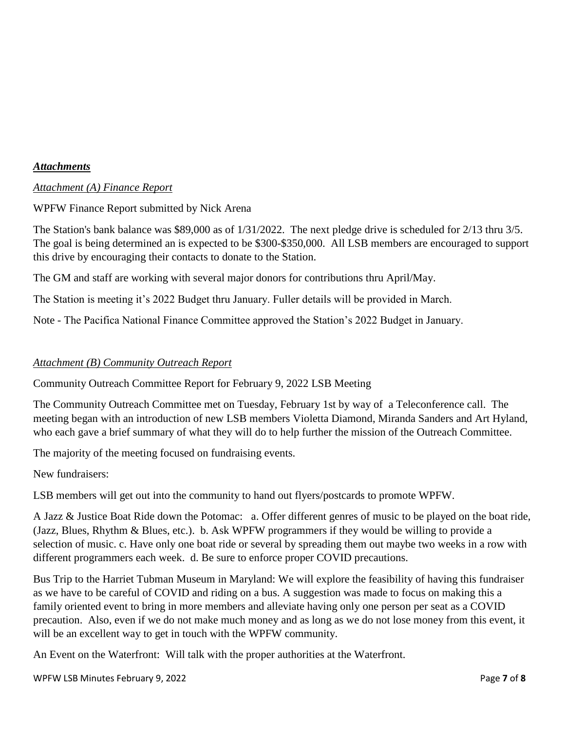## *Attachments*

## *Attachment (A) Finance Report*

## WPFW Finance Report submitted by Nick Arena

The Station's bank balance was \$89,000 as of 1/31/2022. The next pledge drive is scheduled for 2/13 thru 3/5. The goal is being determined an is expected to be \$300-\$350,000. All LSB members are encouraged to support this drive by encouraging their contacts to donate to the Station.

The GM and staff are working with several major donors for contributions thru April/May.

The Station is meeting it's 2022 Budget thru January. Fuller details will be provided in March.

Note - The Pacifica National Finance Committee approved the Station's 2022 Budget in January.

## *Attachment (B) Community Outreach Report*

Community Outreach Committee Report for February 9, 2022 LSB Meeting

The Community Outreach Committee met on Tuesday, February 1st by way of a Teleconference call. The meeting began with an introduction of new LSB members Violetta Diamond, Miranda Sanders and Art Hyland, who each gave a brief summary of what they will do to help further the mission of the Outreach Committee.

The majority of the meeting focused on fundraising events.

New fundraisers:

LSB members will get out into the community to hand out flyers/postcards to promote WPFW.

A Jazz & Justice Boat Ride down the Potomac: a. Offer different genres of music to be played on the boat ride, (Jazz, Blues, Rhythm & Blues, etc.). b. Ask WPFW programmers if they would be willing to provide a selection of music. c. Have only one boat ride or several by spreading them out maybe two weeks in a row with different programmers each week. d. Be sure to enforce proper COVID precautions.

Bus Trip to the Harriet Tubman Museum in Maryland: We will explore the feasibility of having this fundraiser as we have to be careful of COVID and riding on a bus. A suggestion was made to focus on making this a family oriented event to bring in more members and alleviate having only one person per seat as a COVID precaution. Also, even if we do not make much money and as long as we do not lose money from this event, it will be an excellent way to get in touch with the WPFW community.

An Event on the Waterfront: Will talk with the proper authorities at the Waterfront.